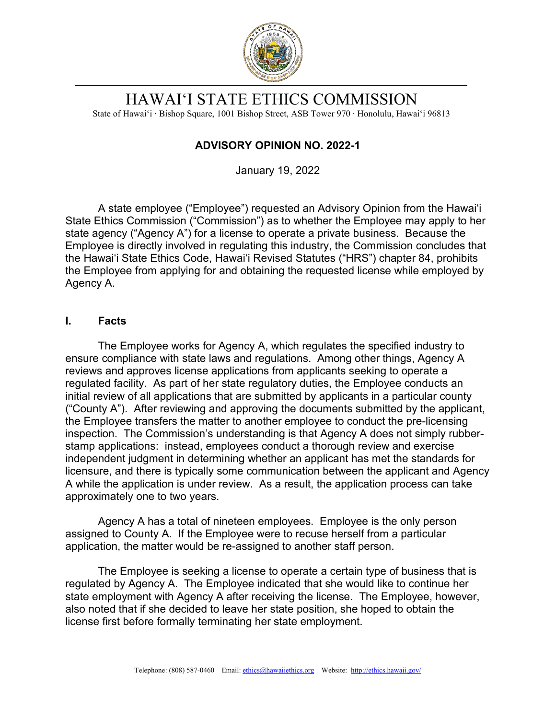

# HAWAI'I STATE ETHICS COMMISSION

State of Hawai'i ∙ Bishop Square, 1001 Bishop Street, ASB Tower 970 ∙ Honolulu, Hawai'i 96813

# **ADVISORY OPINION NO. 2022-1**

January 19, 2022

A state employee ("Employee") requested an Advisory Opinion from the Hawaiʻi State Ethics Commission ("Commission") as to whether the Employee may apply to her state agency ("Agency A") for a license to operate a private business. Because the Employee is directly involved in regulating this industry, the Commission concludes that the Hawai'i State Ethics Code, Hawai'i Revised Statutes ("HRS") chapter 84, prohibits the Employee from applying for and obtaining the requested license while employed by Agency A.

# **I. Facts**

The Employee works for Agency A, which regulates the specified industry to ensure compliance with state laws and regulations. Among other things, Agency A reviews and approves license applications from applicants seeking to operate a regulated facility. As part of her state regulatory duties, the Employee conducts an initial review of all applications that are submitted by applicants in a particular county ("County A"). After reviewing and approving the documents submitted by the applicant, the Employee transfers the matter to another employee to conduct the pre-licensing inspection. The Commission's understanding is that Agency A does not simply rubberstamp applications: instead, employees conduct a thorough review and exercise independent judgment in determining whether an applicant has met the standards for licensure, and there is typically some communication between the applicant and Agency A while the application is under review. As a result, the application process can take approximately one to two years.

Agency A has a total of nineteen employees. Employee is the only person assigned to County A. If the Employee were to recuse herself from a particular application, the matter would be re-assigned to another staff person.

The Employee is seeking a license to operate a certain type of business that is regulated by Agency A. The Employee indicated that she would like to continue her state employment with Agency A after receiving the license. The Employee, however, also noted that if she decided to leave her state position, she hoped to obtain the license first before formally terminating her state employment.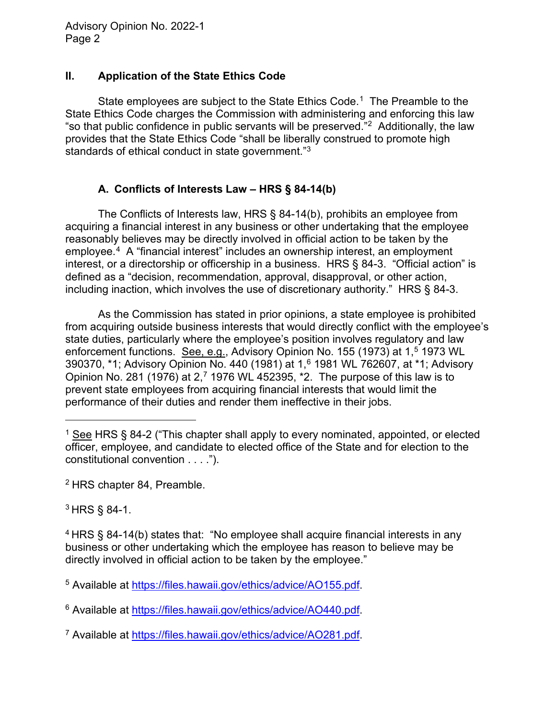### **II. Application of the State Ethics Code**

State employees are subject to the State Ethics Code.<sup>[1](#page-1-0)</sup> The Preamble to the State Ethics Code charges the Commission with administering and enforcing this law "so that public confidence in public servants will be preserved."[2](#page-1-1) Additionally, the law provides that the State Ethics Code "shall be liberally construed to promote high standards of ethical conduct in state government."[3](#page-1-2)

# **A. Conflicts of Interests Law – HRS § 84-14(b)**

The Conflicts of Interests law, HRS § 84-14(b), prohibits an employee from acquiring a financial interest in any business or other undertaking that the employee reasonably believes may be directly involved in official action to be taken by the employee.[4](#page-1-3) A "financial interest" includes an ownership interest, an employment interest, or a directorship or officership in a business. HRS § 84-3. "Official action" is defined as a "decision, recommendation, approval, disapproval, or other action, including inaction, which involves the use of discretionary authority." HRS § 84-3.

As the Commission has stated in prior opinions, a state employee is prohibited from acquiring outside business interests that would directly conflict with the employee's state duties, particularly where the employee's position involves regulatory and law enforcement functions. See, e.g., Advisory Opinion No. 1[5](#page-1-4)5 (1973) at 1,<sup>5</sup> 1973 WL 390370, \*1; Advisory Opinion No. 440 (1981) at 1,[6](#page-1-5) 1981 WL 762607, at \*1; Advisory Opinion No. 281 (19[7](#page-1-6)6) at 2,<sup>7</sup> 1976 WL 452395,  $*2$ . The purpose of this law is to prevent state employees from acquiring financial interests that would limit the performance of their duties and render them ineffective in their jobs.

<span id="page-1-1"></span><sup>2</sup> HRS chapter 84, Preamble.

<span id="page-1-2"></span><sup>3</sup> HRS § 84-1.

<span id="page-1-0"></span><sup>&</sup>lt;sup>1</sup> See HRS § 84-2 ("This chapter shall apply to every nominated, appointed, or elected officer, employee, and candidate to elected office of the State and for election to the constitutional convention . . . .").

<span id="page-1-3"></span><sup>4</sup> HRS § 84-14(b) states that: "No employee shall acquire financial interests in any business or other undertaking which the employee has reason to believe may be directly involved in official action to be taken by the employee."

<span id="page-1-4"></span><sup>5</sup> Available at https://files.hawaii.gov/ethics/advice/AO155.pdf

<span id="page-1-5"></span><sup>6</sup> Available at [https://files.hawaii.gov/ethics/advice/AO440.pdf.](https://files.hawaii.gov/ethics/advice/AO440.pdf)

<span id="page-1-6"></span><sup>7</sup> Available at [https://files.hawaii.gov/ethics/advice/AO281.pdf.](https://files.hawaii.gov/ethics/advice/AO281.pdf)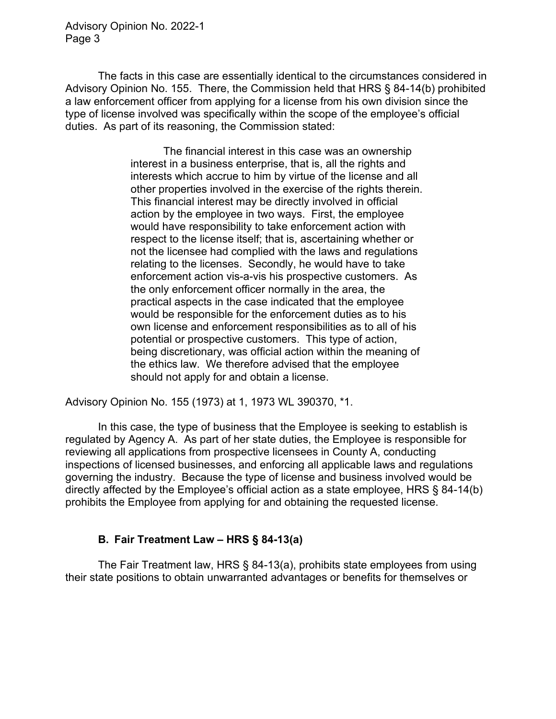The facts in this case are essentially identical to the circumstances considered in Advisory Opinion No. 155. There, the Commission held that HRS § 84-14(b) prohibited a law enforcement officer from applying for a license from his own division since the type of license involved was specifically within the scope of the employee's official duties. As part of its reasoning, the Commission stated:

> The financial interest in this case was an ownership interest in a business enterprise, that is, all the rights and interests which accrue to him by virtue of the license and all other properties involved in the exercise of the rights therein. This financial interest may be directly involved in official action by the employee in two ways. First, the employee would have responsibility to take enforcement action with respect to the license itself; that is, ascertaining whether or not the licensee had complied with the laws and regulations relating to the licenses. Secondly, he would have to take enforcement action vis-a-vis his prospective customers. As the only enforcement officer normally in the area, the practical aspects in the case indicated that the employee would be responsible for the enforcement duties as to his own license and enforcement responsibilities as to all of his potential or prospective customers. This type of action, being discretionary, was official action within the meaning of the ethics law. We therefore advised that the employee should not apply for and obtain a license.

Advisory Opinion No. 155 (1973) at 1, 1973 WL 390370, \*1.

In this case, the type of business that the Employee is seeking to establish is regulated by Agency A. As part of her state duties, the Employee is responsible for reviewing all applications from prospective licensees in County A, conducting inspections of licensed businesses, and enforcing all applicable laws and regulations governing the industry. Because the type of license and business involved would be directly affected by the Employee's official action as a state employee, HRS § 84-14(b) prohibits the Employee from applying for and obtaining the requested license.

### **B. Fair Treatment Law – HRS § 84-13(a)**

The Fair Treatment law, HRS § 84-13(a), prohibits state employees from using their state positions to obtain unwarranted advantages or benefits for themselves or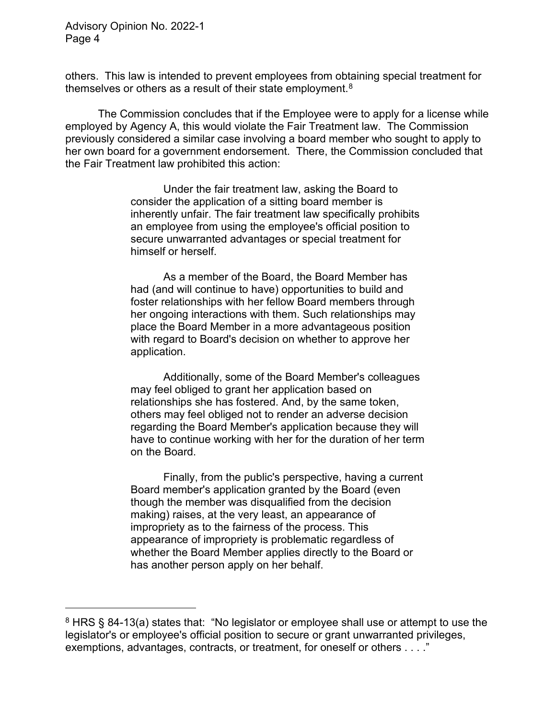others. This law is intended to prevent employees from obtaining special treatment for themselves or others as a result of their state employment.<sup>8</sup>

The Commission concludes that if the Employee were to apply for a license while employed by Agency A, this would violate the Fair Treatment law. The Commission previously considered a similar case involving a board member who sought to apply to her own board for a government endorsement. There, the Commission concluded that the Fair Treatment law prohibited this action:

> Under the fair treatment law, asking the Board to consider the application of a sitting board member is inherently unfair. The fair treatment law specifically prohibits an employee from using the employee's official position to secure unwarranted advantages or special treatment for himself or herself.

As a member of the Board, the Board Member has had (and will continue to have) opportunities to build and foster relationships with her fellow Board members through her ongoing interactions with them. Such relationships may place the Board Member in a more advantageous position with regard to Board's decision on whether to approve her application.

Additionally, some of the Board Member's colleagues may feel obliged to grant her application based on relationships she has fostered. And, by the same token, others may feel obliged not to render an adverse decision regarding the Board Member's application because they will have to continue working with her for the duration of her term on the Board.

Finally, from the public's perspective, having a current Board member's application granted by the Board (even though the member was disqualified from the decision making) raises, at the very least, an appearance of impropriety as to the fairness of the process. This appearance of impropriety is problematic regardless of whether the Board Member applies directly to the Board or has another person apply on her behalf.

<span id="page-3-0"></span> $8$  HRS § 84-13(a) states that: "No legislator or employee shall use or attempt to use the legislator's or employee's official position to secure or grant unwarranted privileges, exemptions, advantages, contracts, or treatment, for oneself or others . . . ."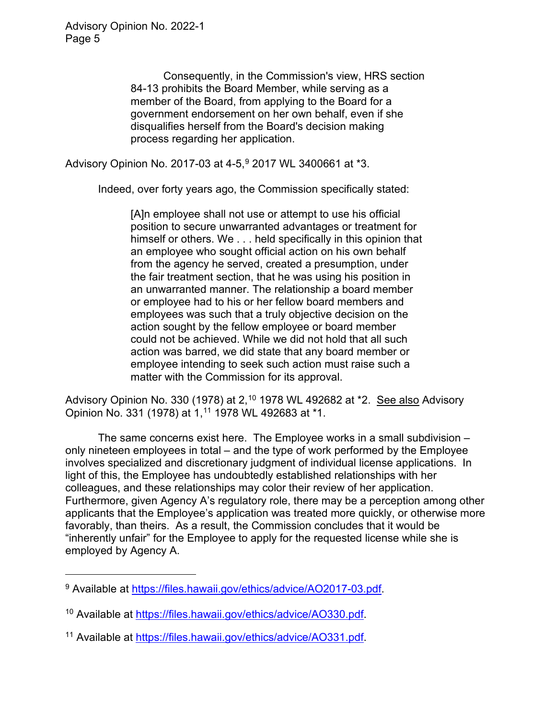Consequently, in the Commission's view, HRS section 84-13 prohibits the Board Member, while serving as a member of the Board, from applying to the Board for a government endorsement on her own behalf, even if she disqualifies herself from the Board's decision making process regarding her application.

Advisory Opinion No. 2017-03 at 4-5,<sup>[9](#page-4-0)</sup> 2017 WL 3400661 at \*3.

Indeed, over forty years ago, the Commission specifically stated:

[A]n employee shall not use or attempt to use his official position to secure unwarranted advantages or treatment for himself or others. We . . . held specifically in this opinion that an employee who sought official action on his own behalf from the agency he served, created a presumption, under the fair treatment section, that he was using his position in an unwarranted manner. The relationship a board member or employee had to his or her fellow board members and employees was such that a truly objective decision on the action sought by the fellow employee or board member could not be achieved. While we did not hold that all such action was barred, we did state that any board member or employee intending to seek such action must raise such a matter with the Commission for its approval.

Advisory Opinion No. 330 (1978) at 2,<sup>[10](#page-4-1)</sup> 1978 WL 492682 at \*2. <u>See also</u> Advisory Opinion No. 331 (1978) at 1,[11](#page-4-2) 1978 WL 492683 at \*1.

The same concerns exist here. The Employee works in a small subdivision – only nineteen employees in total – and the type of work performed by the Employee involves specialized and discretionary judgment of individual license applications. In light of this, the Employee has undoubtedly established relationships with her colleagues, and these relationships may color their review of her application. Furthermore, given Agency A's regulatory role, there may be a perception among other applicants that the Employee's application was treated more quickly, or otherwise more favorably, than theirs. As a result, the Commission concludes that it would be "inherently unfair" for the Employee to apply for the requested license while she is employed by Agency A.

<span id="page-4-0"></span><sup>&</sup>lt;sup>9</sup> Available at [https://files.hawaii.gov/ethics/advice/AO2017-03.pdf.](https://files.hawaii.gov/ethics/advice/AO2017-03.pdf)

<span id="page-4-1"></span><sup>10</sup> Available at [https://files.hawaii.gov/ethics/advice/AO330.pdf.](https://files.hawaii.gov/ethics/advice/AO330.pdf)

<span id="page-4-2"></span><sup>11</sup> Available at [https://files.hawaii.gov/ethics/advice/AO331.pdf.](https://files.hawaii.gov/ethics/advice/AO331.pdf)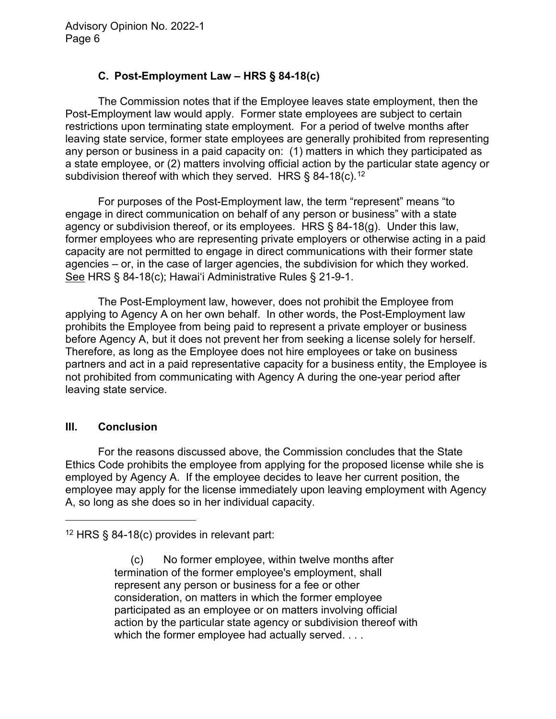# **C. Post-Employment Law – HRS § 84-18(c)**

The Commission notes that if the Employee leaves state employment, then the Post-Employment law would apply. Former state employees are subject to certain restrictions upon terminating state employment. For a period of twelve months after leaving state service, former state employees are generally prohibited from representing any person or business in a paid capacity on: (1) matters in which they participated as a state employee, or (2) matters involving official action by the particular state agency or subdivision thereof with which they served. HRS  $\S$  84-18(c).<sup>[12](#page-5-0)</sup>

For purposes of the Post-Employment law, the term "represent" means "to engage in direct communication on behalf of any person or business" with a state agency or subdivision thereof, or its employees. HRS § 84-18(g). Under this law, former employees who are representing private employers or otherwise acting in a paid capacity are not permitted to engage in direct communications with their former state agencies – or, in the case of larger agencies, the subdivision for which they worked. See HRS § 84-18(c); Hawai'i Administrative Rules § 21-9-1.

The Post-Employment law, however, does not prohibit the Employee from applying to Agency A on her own behalf. In other words, the Post-Employment law prohibits the Employee from being paid to represent a private employer or business before Agency A, but it does not prevent her from seeking a license solely for herself. Therefore, as long as the Employee does not hire employees or take on business partners and act in a paid representative capacity for a business entity, the Employee is not prohibited from communicating with Agency A during the one-year period after leaving state service.

#### **III. Conclusion**

For the reasons discussed above, the Commission concludes that the State Ethics Code prohibits the employee from applying for the proposed license while she is employed by Agency A. If the employee decides to leave her current position, the employee may apply for the license immediately upon leaving employment with Agency A, so long as she does so in her individual capacity.

<span id="page-5-0"></span><sup>12</sup> HRS § 84-18(c) provides in relevant part:

(c) No former employee, within twelve months after termination of the former employee's employment, shall represent any person or business for a fee or other consideration, on matters in which the former employee participated as an employee or on matters involving official action by the particular state agency or subdivision thereof with which the former employee had actually served. . . .